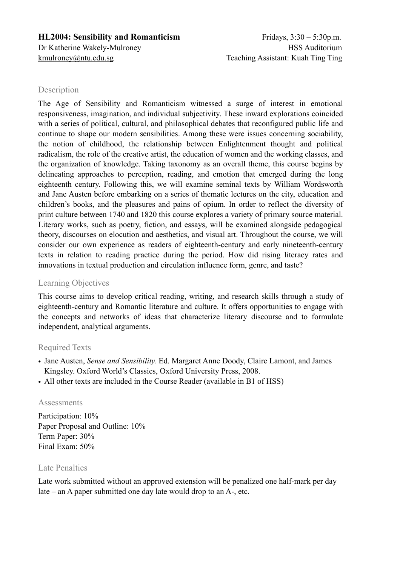#### **HL2004: Sensibility and Romanticism** Fridays, 3:30 – 5:30p.m.

# **Description**

The Age of Sensibility and Romanticism witnessed a surge of interest in emotional responsiveness, imagination, and individual subjectivity. These inward explorations coincided with a series of political, cultural, and philosophical debates that reconfigured public life and continue to shape our modern sensibilities. Among these were issues concerning sociability, the notion of childhood, the relationship between Enlightenment thought and political radicalism, the role of the creative artist, the education of women and the working classes, and the organization of knowledge. Taking taxonomy as an overall theme, this course begins by delineating approaches to perception, reading, and emotion that emerged during the long eighteenth century. Following this, we will examine seminal texts by William Wordsworth and Jane Austen before embarking on a series of thematic lectures on the city, education and children's books, and the pleasures and pains of opium. In order to reflect the diversity of print culture between 1740 and 1820 this course explores a variety of primary source material. Literary works, such as poetry, fiction, and essays, will be examined alongside pedagogical theory, discourses on elocution and aesthetics, and visual art. Throughout the course, we will consider our own experience as readers of eighteenth-century and early nineteenth-century texts in relation to reading practice during the period. How did rising literacy rates and innovations in textual production and circulation influence form, genre, and taste?

## Learning Objectives

This course aims to develop critical reading, writing, and research skills through a study of eighteenth-century and Romantic literature and culture. It offers opportunities to engage with the concepts and networks of ideas that characterize literary discourse and to formulate independent, analytical arguments.

## Required Texts

- Jane Austen, *Sense and Sensibility.* Ed. Margaret Anne Doody, Claire Lamont, and James Kingsley. Oxford World's Classics, Oxford University Press, 2008.
- All other texts are included in the Course Reader (available in B1 of HSS)

#### **Assessments**

Participation:  $10\%$ Paper Proposal and Outline: 10% Term Paper: 30% Final Exam: 50%

#### Late Penalties

Late work submitted without an approved extension will be penalized one half-mark per day late – an A paper submitted one day late would drop to an A-, etc.